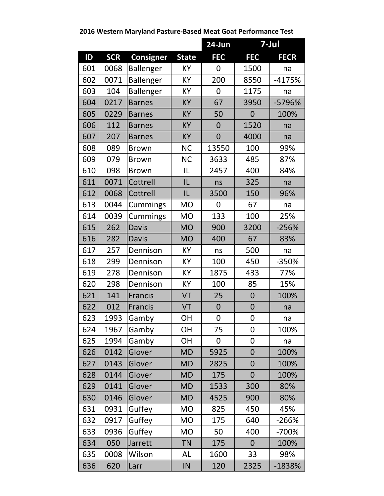## **2016 Western Maryland Pasture-Based Meat Goat Performance Test**

|           |            |                  |              | $24$ -Jun        | 7-Jul          |             |
|-----------|------------|------------------|--------------|------------------|----------------|-------------|
| <b>ID</b> | <b>SCR</b> | <b>Consigner</b> | <b>State</b> | <b>FEC</b>       | <b>FEC</b>     | <b>FECR</b> |
| 601       | 0068       | <b>Ballenger</b> | KY           | 0                | 1500           | na          |
| 602       | 0071       | Ballenger        | KY           | 200              | 8550           | $-4175%$    |
| 603       | 104        | Ballenger        | KY           | $\overline{0}$   | 1175           | na          |
| 604       | 0217       | <b>Barnes</b>    | KY           | 67               | 3950           | -5796%      |
| 605       | 0229       | <b>Barnes</b>    | KY           | 50               | $\mathbf 0$    | 100%        |
| 606       | 112        | <b>Barnes</b>    | KY           | $\overline{0}$   | 1520           | na          |
| 607       | 207        | <b>Barnes</b>    | KY           | $\overline{0}$   | 4000           | na          |
| 608       | 089        | <b>Brown</b>     | <b>NC</b>    | 13550            | 100            | 99%         |
| 609       | 079        | <b>Brown</b>     | <b>NC</b>    | 3633             | 485            | 87%         |
| 610       | 098        | <b>Brown</b>     | IL           | 2457             | 400            | 84%         |
| 611       | 0071       | Cottrell         | IL           | ns               | 325            | na          |
| 612       | 0068       | Cottrell         | IL           | 3500             | 150            | 96%         |
| 613       | 0044       | Cummings         | <b>MO</b>    | 0                | 67             | na          |
| 614       | 0039       | Cummings         | <b>MO</b>    | 133              | 100            | 25%         |
| 615       | 262        | <b>Davis</b>     | <b>MO</b>    | 900              | 3200           | $-256%$     |
| 616       | 282        | <b>Davis</b>     | <b>MO</b>    | 400              | 67             | 83%         |
| 617       | 257        | Dennison         | KY           | ns               | 500            | na          |
| 618       | 299        | Dennison         | KY           | 100              | 450            | -350%       |
| 619       | 278        | Dennison         | KY           | 1875             | 433            | 77%         |
| 620       | 298        | Dennison         | KY           | 100              | 85             | 15%         |
| 621       | 141        | <b>Francis</b>   | VT           | 25               | $\overline{0}$ | 100%        |
| 622       | 012        | <b>Francis</b>   | VT           | $\boldsymbol{0}$ | $\mathbf 0$    | na          |
| 623       | 1993       | Gamby            | OH           | 0                | 0              | na          |
| 624       | 1967       | Gamby            | <b>OH</b>    | 75               | 0              | 100%        |
| 625       | 1994       | Gamby            | <b>OH</b>    | 0                | $\overline{0}$ | na          |
| 626       | 0142       | Glover           | <b>MD</b>    | 5925             | $\overline{0}$ | 100%        |
| 627       | 0143       | Glover           | <b>MD</b>    | 2825             | $\overline{0}$ | 100%        |
| 628       | 0144       | Glover           | <b>MD</b>    | 175              | $\overline{0}$ | 100%        |
| 629       | 0141       | Glover           | <b>MD</b>    | 1533             | 300            | 80%         |
| 630       | 0146       | Glover           | <b>MD</b>    | 4525             | 900            | 80%         |
| 631       | 0931       | Guffey           | <b>MO</b>    | 825              | 450            | 45%         |
| 632       | 0917       | Guffey           | <b>MO</b>    | 175              | 640            | -266%       |
| 633       | 0936       | Guffey           | <b>MO</b>    | 50               | 400            | -700%       |
| 634       | 050        | Jarrett          | <b>TN</b>    | 175              | $\overline{0}$ | 100%        |
| 635       | 0008       | Wilson           | AL           | 1600             | 33             | 98%         |
| 636       | 620        | Larr             | IN           | 120              | 2325           | -1838%      |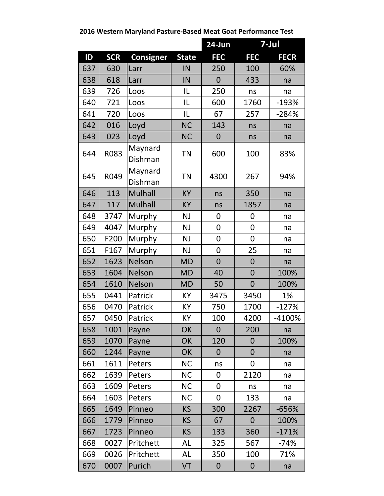**ID SCR Consigner State FEC FEC FECR 24-Jun 7-Jul** 637 | 630 |Larr | IN | 250 | 100 | 60% 638 | 618 | Larr | IN | 0 | 433 | na 639 | 726 | Loos | 1 | 1L | 250 | ns | na 640 | 721 |Loos IL 600 | 1760 | -193% 641 720 Loos IL 67 257 -284% 642 | 016 |Loyd NC | 143 | ns na 643 023 Loyd NC 0 ns na 644 R083 Maynard  $\begin{array}{|c|c|c|c|c|c|}\n \hline\n \text{Dishman} & \text{TN} & \text{600} & \text{100} & \text{83\%}\n \end{array}$ 645 R049 Maynard Maynard TN 4300 267 94% 646 113 Mulhall | KY | ns | 350 | na 647 | 117 | Mulhall | KY | ns | 1857 | na 648 3747 Murphy NJ 0 0 0 na 649 4047 Murphy | NJ | 0 | 0 | na 650 F200 Murphy | NJ | 0 | 0 | na 651 | F167 | Murphy | NJ | 0 | 25 | na 652 | 1623 | Nelson | MD | 0 | 0 | na 653 | 1604 | Nelson | MD | 40 | 0 | 100% 654 | 1610 | Nelson | MD | 50 | 0 | 100% 655 0441 Patrick | KY | 3475 | 3450 | 1% 656 0470 Patrick | KY | 750 | 1700 | -127% 657 | 0450 | Patrick | KY | 100 | 4200 | -4100% 658 | 1001 |Payne | OK | 0 | 200 | na 659 | 1070 |Payne | OK | 120 | 0 | 100% 660 | 1244 |Payne | OK | 0 | 0 | na 661 | 1611 |Peters | NC | ns | 0 | na 662 | 1639 |Peters | NC | 0 | 2120 | na 663 | 1609 |Peters | NC | 0 | ns | na 664 | 1603 |Peters | NC | 0 | 133 | na 665 | 1649 |Pinneo | KS | 300 | 2267 | -656% 666 | 1779 |Pinneo | KS | 67 | 0 | 100% 667 | 1723 | Pinneo | KS | 133 | 360 | -171% 668 0027 Pritchett | AL | 325 | 567 | -74% 669 0026 Pritchett | AL | 350 | 100 | 71% 670 0007 Purich | VT | 0 | 0 | na

**2016 Western Maryland Pasture-Based Meat Goat Performance Test**